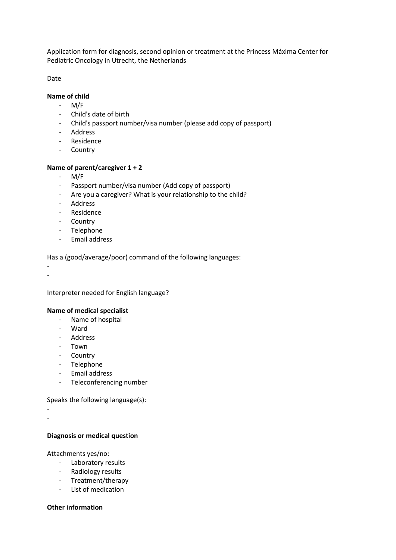Application form for diagnosis, second opinion or treatment at the Princess Máxima Center for Pediatric Oncology in Utrecht, the Netherlands

Date

# **Name of child**

- M/F
- Child's date of birth
- Child's passport number/visa number (please add copy of passport)
- Address
- Residence
- Country

## **Name of parent/caregiver 1 + 2**

- M/F
- Passport number/visa number (Add copy of passport)
- Are you a caregiver? What is your relationship to the child?
- Address
- Residence
- Country
- Telephone
- Email address

Has a (good/average/poor) command of the following languages:

- -

Interpreter needed for English language?

## **Name of medical specialist**

- Name of hospital
- Ward
- Address
- Town
- Country
- Telephone
- Email address
- Teleconferencing number

Speaks the following language(s):

- -

## **Diagnosis or medical question**

Attachments yes/no:

- Laboratory results
- Radiology results
- Treatment/therapy
- List of medication

## **Other information**